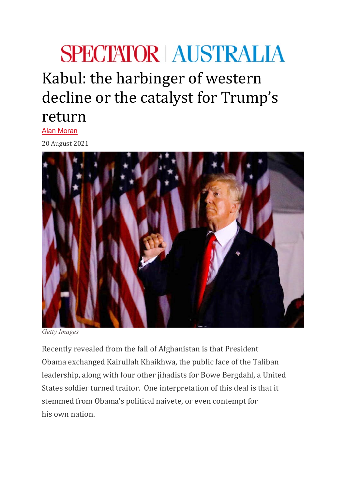## **SPECTATOR AUSTRALIA**

Kabul: the harbinger of western decline or the catalyst for Trump's return

Alan [Moran](https://www.spectator.com.au/author/alanmoran/)

20 August 2021



*Getty Images*

Recently revealed from the fall of Afghanistan is that President Obama exchanged Kairullah Khaikhwa, the public face of the Taliban leadership, along with four other jihadists for Bowe Bergdahl, a United States soldier turned traitor. One interpretation of this deal is that it stemmed from Obama's political naivete, or even contempt for his own nation.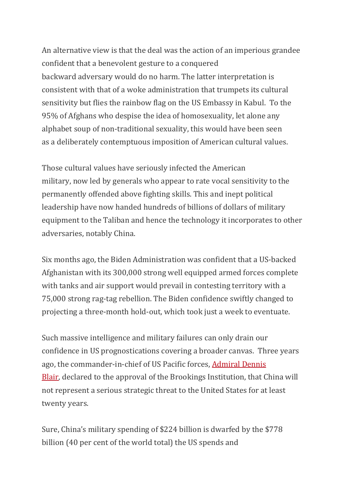An alternative view is that the deal was the action of an imperious grandee confident that a benevolent gesture to a conquered backward adversary would do no harm. The latter interpretation is consistent with that of a woke administration that trumpets its cultural sensitivity but flies the rainbow flag on the US Embassy in Kabul. To the 95% of Afghans who despise the idea of homosexuality, let alone any alphabet soup of non-traditional sexuality, this would have been seen as a deliberately contemptuous imposition of American cultural values.

Those cultural values have seriously infected the American military, now led by generals who appear to rate vocal sensitivity to the permanently offended above fighting skills. This and inept political leadership have now handed hundreds of billions of dollars of military equipment to the Taliban and hence the technology it incorporates to other adversaries, notably China.

Six months ago, the Biden Administration was confident that a US-backed Afghanistan with its 300,000 strong well equipped armed forces complete with tanks and air support would prevail in contesting territory with a 75,000 strong rag-tag rebellion. The Biden confidence swiftly changed to projecting a three-month hold-out, which took just a week to eventuate.

Such massive intelligence and military failures can only drain our confidence in US prognostications covering a broader canvas. Three years ago, the commander-in-chief of US Pacific forces, [Admiral Dennis](https://www.brookings.edu/articles/chinas-hollow-military/)  [Blair,](https://www.brookings.edu/articles/chinas-hollow-military/) declared to the approval of the Brookings Institution, that China will not represent a serious strategic threat to the United States for at least twenty years.

Sure, China's military spending of \$224 billion is dwarfed by the \$778 billion (40 per cent of the world total) the US spends and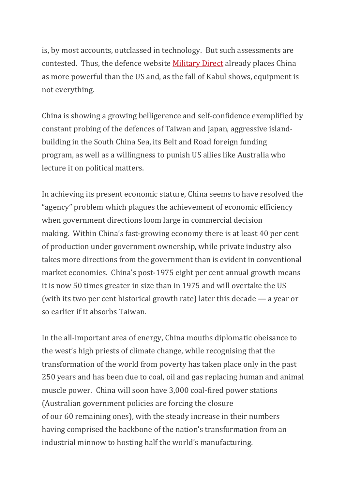is, by most accounts, outclassed in technology. But such assessments are contested. Thus, the defence website [Military Direct](https://economictimes.indiatimes.com/news/defence/china-beats-us-in-ultimate-military-strength-index-while-india-comes-in-fourth/china/slideshow/81632470.cms) already places China as more powerful than the US and, as the fall of Kabul shows, equipment is not everything.

China is showing a growing belligerence and self-confidence exemplified by constant probing of the defences of Taiwan and Japan, aggressive islandbuilding in the South China Sea, its Belt and Road foreign funding program, as well as a willingness to punish US allies like Australia who lecture it on political matters.

In achieving its present economic stature, China seems to have resolved the "agency" problem which plagues the achievement of economic efficiency when government directions loom large in commercial decision making. Within China's fast-growing economy there is at least 40 per cent of production under government ownership, while private industry also takes more directions from the government than is evident in conventional market economies. China's post-1975 eight per cent annual growth means it is now 50 times greater in size than in 1975 and will overtake the US (with its two per cent historical growth rate) later this decade — a year or so earlier if it absorbs Taiwan.

In the all-important area of energy, China mouths diplomatic obeisance to the west's high priests of climate change, while recognising that the transformation of the world from poverty has taken place only in the past 250 years and has been due to coal, oil and gas replacing human and animal muscle power. China will soon have 3,000 coal-fired power stations (Australian government policies are forcing the closure of our 60 remaining ones), with the steady increase in their numbers having comprised the backbone of the nation's transformation from an industrial minnow to hosting half the world's manufacturing.